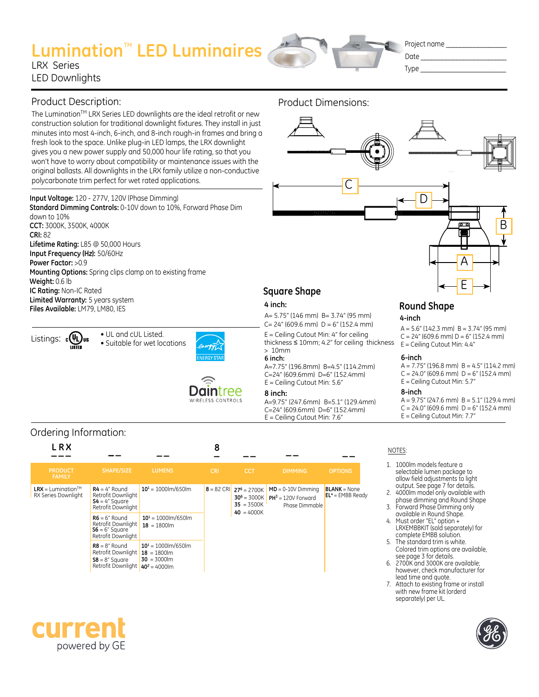# **Lumination**™ **LED Luminaires**

# LRX Series

LED Downlights

Project name Date \_\_\_\_\_\_\_\_\_\_\_\_\_\_\_\_\_\_\_\_\_\_\_\_

Type

# Product Description:

The Lumination™ LRX Series LED downlights are the ideal retrofit or new construction solution for traditional downlight fixtures. They install in just minutes into most 4-inch, 6-inch, and 8-inch rough-in frames and bring a fresh look to the space. Unlike plug-in LED lamps, the LRX downlight gives you a new power supply and 50,000 hour life rating, so that you won't have to worry about compatibility or maintenance issues with the original ballasts. All downlights in the LRX family utilize a non-conductive polycarbonate trim perfect for wet rated applications.

#### **Input Voltage:** 120 - 277V, 120V (Phase Dimming) **Standard Dimming Controls:** 0-10V down to 10%, Forward Phase Dim down to 10% **CCT:** 3000K, 3500K, 4000K **CRI:** 82 **Lifetime Rating:** L85 @ 50,000 Hours

**Input Frequency (Hz):** 50/60Hz **Power Factor:** >0.9 **Mounting Options:** Spring clips clamp on to existing frame **Weight:** 0.6 lb **IC Rating:** Non-IC Rated **Limited Warranty:** 5 years system **Files Available:** LM79, LM80, IES

Listings: **c(u)**<sub>us</sub> • UL and cUL Listed.

• Suitable for wet locations





# Product Dimensions:



# **Square Shape**

### **4 inch:**

 A= 5.75" (146 mm) B= 3.74" (95 mm)  $C= 24'' (609.6$  mm)  $D = 6'' (152.4$  mm)

 $E =$  Ceiling Cutout Min: 4" for ceiling thickness ≤ 10mm; 4.2" for ceiling thickness > 10mm

#### **6 inch:**

A=7.75" (196.8mm) B=4.5" (114.2mm) C=24" (609.6mm) D=6" (152.4mm) E = Ceiling Cutout Min: 5.6"

#### **8 inch:**

A=9.75" (247.6mm) B=5.1" (129.4mm) C=24" (609.6mm) D=6" (152.4mm) E = Ceiling Cutout Min: 7.6"

**Round Shape**

#### **4-inch**

 $A = 5.6"$  (142.3 mm)  $B = 3.74"$  (95 mm)  $C = 24$ " (609.6 mm)  $D = 6$ " (152.4 mm) E = Ceiling Cutout Min: 4.4"

#### **6-inch**

 $A = 7.75$ " (196.8 mm)  $B = 4.5$ " (114.2 mm)  $C = 24.0$ " (609.6 mm)  $D = 6$ " (152.4 mm) E = Ceiling Cutout Min: 5.7"

#### **8-inch**

 $A = 9.75$ " (247.6 mm)  $B = 5.1$ " (129.4 mm)  $C = 24.0$ " (609.6 mm)  $D = 6$ " (152.4 mm) E = Ceiling Cutout Min: 7.7"

# Ordering Information:

| <b>LRX</b>                                              |                                                                                 |                                                         | 8          |                                                                                |                                                                |                                      | NOTES:           |
|---------------------------------------------------------|---------------------------------------------------------------------------------|---------------------------------------------------------|------------|--------------------------------------------------------------------------------|----------------------------------------------------------------|--------------------------------------|------------------|
| <b>PRODUCT</b><br><b>FAMILY</b>                         | SHAPE/SIZE                                                                      | <b>LUMENS</b>                                           | <b>CRI</b> | <b>CCT</b>                                                                     | <b>DIMMING</b>                                                 | <b>OPTIONS</b>                       |                  |
| $LRX =$ Lumination <sup>TM</sup><br>RX Series Downlight | $R4 = 4"$ Round<br>Retrofit Downlight<br>$S4 = 4"$ Square<br>Retrofit Downlight | $10^1$ = 1000 lm/650 lm                                 |            | $8 = 82 \text{ CRI}$ 27 <sup>6</sup> = 2700K<br>$30^6 = 3000K$<br>$35 = 3500K$ | $MD = 0-10V$ Dimming<br>$PH3 = 120V$ Forward<br>Phase Dimmable | $BLANK = None$<br>$EL4 = EMBB$ Ready |                  |
|                                                         | $R6 = 6"$ Round<br>Retrofit Downlight<br>$S6 = 6"$ Square<br>Retrofit Downlight | $10^1$ = 1000 lm/650 lm<br>$18 = 1800$ m                |            | $40 = 4000K$                                                                   |                                                                |                                      | 4.               |
|                                                         | $R8 = 8"$ Round<br>Retrofit Downlight<br>$S8 = 8$ " Square                      | $10^1$ = 1000 m/650 m<br>$18 = 1800$ m<br>$30 = 3000$ m |            |                                                                                |                                                                |                                      | 5.<br>6.         |
|                                                         | Retrofit Downlight $40^2$ = 4000lm                                              |                                                         |            |                                                                                |                                                                |                                      | <b>7</b> A + + - |

- 1. 1000lm models feature a selectable lumen package to allow field adjustments to light output. See page 7 for details.
- 2. 4000lm model only available with phase dimming and Round Shape
- 3. Forward Phase Dimming only
- available in Round Shape. 4. Must order "EL" option + LRXEMBBKIT (sold separately) for
- complete EMBB solution. 5. The standard trim is white.
- Colored trim options are available, see page 3 for details. 6. 2700K and 3000K are available;
- however, check manufacturer for lead time and quote.
- 7. Attach to existing frame or install with new frame kit (orderd separately) per UL.



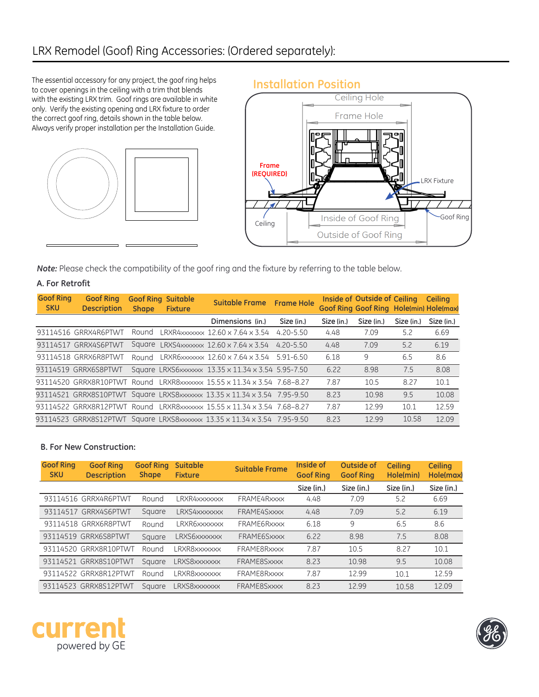The essential accessory for any project, the goof ring helps to cover openings in the ceiling with a trim that blends with the existing LRX trim. Goof rings are available in white only. Verify the existing opening and LRX fixture to order the correct goof ring, details shown in the table below. Always verify proper installation per the Installation Guide.



# **Installation Position**



*Note:* Please check the compatibility of the goof ring and the fixture by referring to the table below.

### **A. For Retrofit**

| <b>Goof Ring</b><br><b>SKU</b> | <b>Goof Ring</b><br><b>Description</b> | <b>Shape</b> | <b>Goof Ring Suitable</b><br><b>Fixture</b> | <b>Suitable Frame</b>                                                    | <b>Frame Hole</b> |            | Inside of Outside of Ceiling<br><b>Goof Ring Goof Ring Hole(min) Hole(max)</b> |            | Ceiling    |
|--------------------------------|----------------------------------------|--------------|---------------------------------------------|--------------------------------------------------------------------------|-------------------|------------|--------------------------------------------------------------------------------|------------|------------|
|                                |                                        |              |                                             | Dimensions (in.)                                                         | Size (in.)        | Size (in.) | Size (in.)                                                                     | Size (in.) | Size (in.) |
|                                | 93114516 GRRX4R6PTWT                   | Round        |                                             | LRXR4xxxxxxx 12.60 x 7.64 x 3.54                                         | $420 - 550$       | 4.48       | 7.09                                                                           | 5.2        | 6.69       |
|                                | 93114517 GRRX4S6PTWT                   |              |                                             | Square LRXS4xxxxxxx 12.60 x 7.64 x 3.54 4.20-5.50                        |                   | 4.48       | 7.09                                                                           | 5.2        | 6.19       |
|                                | 93114518 GRRX6R8PTWT                   | Round        |                                             | LRXR6xxxxxxx 12.60 x 7.64 x 3.54 5.91-6.50                               |                   | 6.18       | 9                                                                              | 6.5        | 8.6        |
|                                | 93114519 GRRX6S8PTWT                   |              |                                             | Square LRXS6xxxxxxx 13.35 x 11.34 x 3.54 5.95-7.50                       |                   | 6.22       | 8.98                                                                           | 7.5        | 8.08       |
|                                |                                        |              |                                             | 93114520 GRRX8R10PTWT Round LRXR8xxxxxxx 15.55 x 11.34 x 3.54 7.68-8.27  |                   | 7.87       | 10.5                                                                           | 8.27       | 10.1       |
|                                |                                        |              |                                             | 93114521 GRRX8S10PTWT Square LRXS8xxxxxxx 13.35 x 11.34 x 3.54 7.95-9.50 |                   | 8.23       | 10.98                                                                          | 9.5        | 10.08      |
|                                |                                        |              |                                             | 93114522 GRRX8R12PTWT Round LRXR8xxxxxxx 15.55 x 11.34 x 3.54 7.68-8.27  |                   | 7.87       | 12.99                                                                          | 10.1       | 12.59      |
|                                |                                        |              |                                             | 93114523 GRRX8S12PTWT Square LRXS8xxxxxxx 13.35 x 11.34 x 3.54 7.95-9.50 |                   | 8.23       | 1299                                                                           | 10.58      | 12.09      |

#### **B. For New Construction:**

| <b>Goof Ring</b><br><b>SKU</b> | <b>Goof Ring</b><br><b>Description</b> | <b>Goof Ring</b><br><b>Shape</b> | <b>Suitable</b><br><b>Fixture</b> | <b>Suitable Frame</b> | Inside of<br><b>Goof Ring</b> | Outside of<br><b>Goof Ring</b> | <b>Ceiling</b><br>Hole(min) | <b>Ceiling</b><br>Hole(max) |
|--------------------------------|----------------------------------------|----------------------------------|-----------------------------------|-----------------------|-------------------------------|--------------------------------|-----------------------------|-----------------------------|
|                                |                                        |                                  |                                   |                       | Size (in.)                    | Size (in.)                     | Size (in.)                  | Size (in.)                  |
|                                | 93114516 GRRX4R6PTWT                   | Round                            | LRXR4xxxxxxx                      | FRAME4Rxxxx           | 4.48                          | 7.09                           | 5.2                         | 6.69                        |
| 93114517                       | GRRX4S6PTWT                            | Square                           | LRXS4xxxxxxx                      | FRAME4Sxxxx           | 4.48                          | 7.09                           | 5.2                         | 6.19                        |
|                                | 93114518 GRRX6R8PTWT                   | Round                            | LRXR6xxxxxxx                      | FRAME6Rxxxx           | 6.18                          | 9                              | 6.5                         | 8.6                         |
| 93114519                       | GRRX6S8PTWT                            | Square                           | LRXS6xxxxxxx                      | FRAME6Sxxxx           | 6.22                          | 8.98                           | 7.5                         | 8.08                        |
| 93114520                       | GRRX8R10PTWT                           | Round                            | LRXR8xxxxxxx                      | FRAME8Rxxxx           | 7.87                          | 10.5                           | 8.27                        | 10.1                        |
| 93114521                       | GRRX8S10PTWT                           | Square                           | LRXS8xxxxxxx                      | FRAME8Sxxxx           | 8.23                          | 10.98                          | 9.5                         | 10.08                       |
| 93114522                       | GRRX8R12PTWT                           | Round                            | LRXR8xxxxxxx                      | FRAME8Rxxxx           | 7.87                          | 12.99                          | 10.1                        | 12.59                       |
|                                | 93114523 GRRX8S12PTWT                  | Square                           | LRXS8xxxxxxx                      | FRAME8Sxxxx           | 8.23                          | 12.99                          | 10.58                       | 12.09                       |



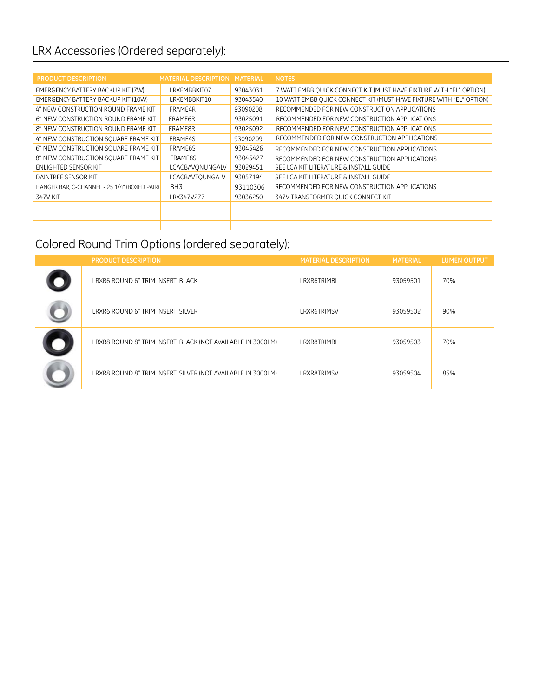# LRX Accessories (Ordered separately):

| <b>PRODUCT DESCRIPTION</b>                   | MATERIAL DESCRIPTION MATERIAL |          | <b>NOTES</b>                                                        |
|----------------------------------------------|-------------------------------|----------|---------------------------------------------------------------------|
| EMERGENCY BATTERY BACKUP KIT (7W)            | LRXEMBBKIT07                  | 93043031 | 7 WATT EMBB QUICK CONNECT KIT (MUST HAVE FIXTURE WITH "EL" OPTION)  |
| EMERGENCY BATTERY BACKUP KIT (10W)           | LRXEMBBKIT10                  | 93043540 | 10 WATT EMBB QUICK CONNECT KIT (MUST HAVE FIXTURE WITH "EL" OPTION) |
| 4" NEW CONSTRUCTION ROUND FRAME KIT          | FRAME4R                       | 93090208 | RECOMMENDED FOR NEW CONSTRUCTION APPLICATIONS                       |
| 6" NEW CONSTRUCTION ROUND FRAME KIT          | FRAME6R                       | 93025091 | RECOMMENDED FOR NEW CONSTRUCTION APPLICATIONS                       |
| 8" NEW CONSTRUCTION ROUND FRAME KIT          | FRAME8R                       | 93025092 | RECOMMENDED FOR NEW CONSTRUCTION APPLICATIONS                       |
| 4" NEW CONSTRUCTION SOUARE FRAME KIT         | FRAME4S                       | 93090209 | RECOMMENDED FOR NEW CONSTRUCTION APPLICATIONS                       |
| 6" NEW CONSTRUCTION SOUARE FRAME KIT         | FRAME6S                       | 93045426 | RECOMMENDED FOR NEW CONSTRUCTION APPLICATIONS                       |
| 8" NEW CONSTRUCTION SOUARE FRAME KIT         | FRAME8S                       | 93045427 | RECOMMENDED FOR NEW CONSTRUCTION APPLICATIONS                       |
| <b>ENLIGHTED SENSOR KIT</b>                  | LCACBAVONUNGALV               | 93029451 | SEE LCA KIT LITERATURE & INSTALL GUIDE                              |
| DAINTREE SENSOR KIT                          | LCACBAVTOUNGALV               | 93057194 | SEE LCA KIT LITERATURE & INSTALL GUIDE                              |
| HANGER BAR, C-CHANNEL - 25 1/4" (BOXED PAIR) | BH <sub>3</sub>               | 93110306 | RECOMMENDED FOR NEW CONSTRUCTION APPLICATIONS                       |
| 347V KIT                                     | LRX347V277                    | 93036250 | 347V TRANSFORMER QUICK CONNECT KIT                                  |
|                                              |                               |          |                                                                     |
|                                              |                               |          |                                                                     |
|                                              |                               |          |                                                                     |

# Colored Round Trim Options (ordered separately):

| <b>PRODUCT DESCRIPTION</b>                                   | <b>MATERIAL DESCRIPTION</b> | MATERIAL | <b>LUMEN OUTPUT</b> |
|--------------------------------------------------------------|-----------------------------|----------|---------------------|
| LRXR6 ROUND 6" TRIM INSERT, BLACK                            | LRXR6TRIMBL                 | 93059501 | 70%                 |
| LRXR6 ROUND 6" TRIM INSERT, SILVER                           | LRXR6TRIMSV                 | 93059502 | 90%                 |
| LRXR8 ROUND 8" TRIM INSERT, BLACK (NOT AVAILABLE IN 3000LM)  | LRXR8TRIMBL                 | 93059503 | 70%                 |
| LRXR8 ROUND 8" TRIM INSERT, SILVER (NOT AVAILABLE IN 3000LM) | LRXR8TRIMSV                 | 93059504 | 85%                 |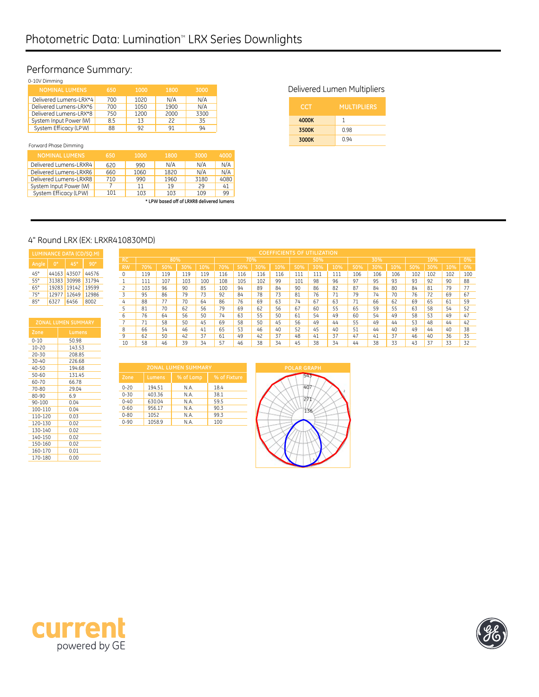# Performance Summary:

| 0-10V Dimming          |     |      |      |      |
|------------------------|-----|------|------|------|
| <b>NOMINAL LUMENS</b>  | 650 | 1000 | 1800 | 3000 |
| Delivered Lumens-LRX*4 | 700 | 1020 | N/A  | N/A  |
| Delivered Lumens-LRX*6 | 700 | 1050 | 1900 | N/A  |
| Delivered Lumens-LRX*8 | 750 | 1200 | 2000 | 3300 |
| System Input Power (W) | 8.5 | 13   | 22   | 35   |
| System Efficacy (LPW)  | 88  | 92   | 91   | 94   |

### Forward Phase Dimming

| <b>NOMINAL LUMENS</b>  | 650 | 1000 | 1800                                      | 3000 | 4000 |
|------------------------|-----|------|-------------------------------------------|------|------|
| Delivered Lumens-LRXR4 | 620 | 990  | N/A                                       | N/A  | N/A  |
| Delivered Lumens-LRXR6 | 660 | 1060 | 1820                                      | N/A  | N/A  |
| Delivered Lumens-LRXR8 | 710 | 990  | 1960                                      | 3180 | 4080 |
| System Input Power (W) |     | 11   | 19                                        | 29   | 41   |
| System Efficacy (LPW)  | 101 | 103  | 103                                       | 109  | 99   |
|                        |     |      | * LPW based off of LRXR8 delivered lumens |      |      |

# Delivered Lumen Multipliers

| CCT   | <b>MULTIPLIERS</b> |
|-------|--------------------|
| 4000K | 1                  |
| 3500K | 0.98               |
| 3000K | 0.94               |

### 4" Round LRX (EX: LRXR410830MD)

| LUMINANCE DATA (CD/SQ.M) |       |            |       |  |  |  |  |
|--------------------------|-------|------------|-------|--|--|--|--|
| Angle                    | o۰    | $45^\circ$ | 90°   |  |  |  |  |
| 45°                      | 44163 | 43507      | 44576 |  |  |  |  |
| $55^\circ$               | 31383 | 30998      | 31794 |  |  |  |  |
| 65°                      | 19283 | 19142      | 19599 |  |  |  |  |
| $75^{\circ}$             | 12977 | 12649      | 12986 |  |  |  |  |
| 85°                      | 6327  | 6456       | 8002  |  |  |  |  |

| ZONAL LUMEN SUMMARY |        |  |  |  |  |  |
|---------------------|--------|--|--|--|--|--|
| Zone                | Lumens |  |  |  |  |  |
| $0 - 10$            | 50.98  |  |  |  |  |  |
| $10 - 20$           | 143.53 |  |  |  |  |  |
| $20 - 30$           | 208.85 |  |  |  |  |  |
| $30 - 40$           | 226.68 |  |  |  |  |  |
| 40-50               | 194.68 |  |  |  |  |  |
| $50 - 60$           | 131.45 |  |  |  |  |  |
| $60 - 70$           | 66.78  |  |  |  |  |  |
| 70-80               | 29.04  |  |  |  |  |  |
| 80-90               | 69     |  |  |  |  |  |
| 90-100              | 0.04   |  |  |  |  |  |
| 100-110             | 0.04   |  |  |  |  |  |
| 110-120             | 0.03   |  |  |  |  |  |
| 120-130             | 0.02   |  |  |  |  |  |
| 130-140             | 0.02   |  |  |  |  |  |
| 140-150             | 0.02   |  |  |  |  |  |
| 150-160             | 0.02   |  |  |  |  |  |
| 160-170             | 0.01   |  |  |  |  |  |
| 170-180             | 0.00   |  |  |  |  |  |

|              |     |      |     |        |     |     |     | <b>COEFFICIENTS OF UTILIZATION</b> |     |     |        |     |     |     |     |     |     |     |
|--------------|-----|------|-----|--------|-----|-----|-----|------------------------------------|-----|-----|--------|-----|-----|-----|-----|-----|-----|-----|
| <b>RC</b>    |     | 80%  |     |        |     |     | 70% |                                    |     | 50% |        |     | 30% |     |     | 10% |     | 0%  |
| <b>RW</b>    | 70% | 50%' | 30% | $10\%$ | 70% | 50% | 30% | 10%                                | 50% | 30% | $10\%$ | 50% | 30% | 10% | 50% | 30% | 10% | 0%  |
|              | 119 | 119  | 119 | 119    | 116 | 116 | 116 | 116                                | 111 | 111 | 111    | 106 | 106 | 106 | 102 | 102 | 102 | 100 |
|              | 111 | 107  | 103 | 100    | 108 | 105 | 102 | 99                                 | 101 | 98  | 96     | 97  | 95  | 93  | 93  | 92  | 90  | 88  |
| <sup>2</sup> | 103 | 96   | 90  | 85     | 100 | 94  | 89  | 84                                 | 90  | 86  | 82     | 87  | 84  | 80  | 84  | 81  | 79  | 77  |
| 3            | 95  | 86   | 79  | 73     | 92  | 84  | 78  | 73                                 | 81  | 76  | 71     | 79  | 74  | 70  | 76  | 72  | 69  | 67  |
| 4            | 88  | 77   | 70  | 64     | 86  | 76  | 69  | 63                                 | 74  | 67  | 63     | 71  | 66  | 62  | 69  | 65  | 61  | 59  |
| 5            | 81  | 70   | 62  | 56     | 79  | 69  | 62  | 56                                 | 67  | 60  | 55     | 65  | 59  | 55  | 63  | 58  | 54  | 52  |
| 6            | 76  | 64   | 56  | 50     | 74  | 63  | 55  | 50                                 | 61  | 54  | 49     | 60  | 54  | 49  | 58  | 53  | 49  | 47  |
|              | п.  | 58   | 50  | 45     | 69  | 58  | 50  | 45                                 | 56  | 49  | 44     | 55  | 49  | 44  | 53  | 48  | 44  | 42  |
| 8            | 66  | 54   | 46  | 41     | 65  | 53  | 46  | 40                                 | 52  | 45  | 40     | 51  | 44  | 40  | 49  | 44  | 40  | 38  |
| 9            | 62  | 50   | 42  | 37     | 61  | 49  | 42  | 37                                 | 48  | 41  | 37     | 47  | 41  | 37  | 46  | 40  | 36  | 35  |
| 10           | 58  | 46   | 39  | 34     | 57  | 46  | 38  | 34                                 | 45  | 38  | 34     | 44  | 38  | 33  | 43  | 37  | 33  | 32  |

| <b>ZONAL LUMEN SUMMARY</b> |        |           |              |  |  |  |  |
|----------------------------|--------|-----------|--------------|--|--|--|--|
| Zone                       | Lumens | % of Lamp | % of Fixture |  |  |  |  |
| $0 - 20$                   | 194.51 | N.A.      | 18.4         |  |  |  |  |
| $0 - 30$                   | 403.36 | N.A.      | 38.1         |  |  |  |  |
| $0 - 40$                   | 630.04 | N.A.      | 59.5         |  |  |  |  |
| $0 - 60$                   | 956.17 | N.A.      | 90.3         |  |  |  |  |
| $0 - 80$                   | 1052   | N.A.      | 99.3         |  |  |  |  |
| $0 - 90$                   | 1058.9 | N.A.      | 100          |  |  |  |  |
|                            |        |           |              |  |  |  |  |





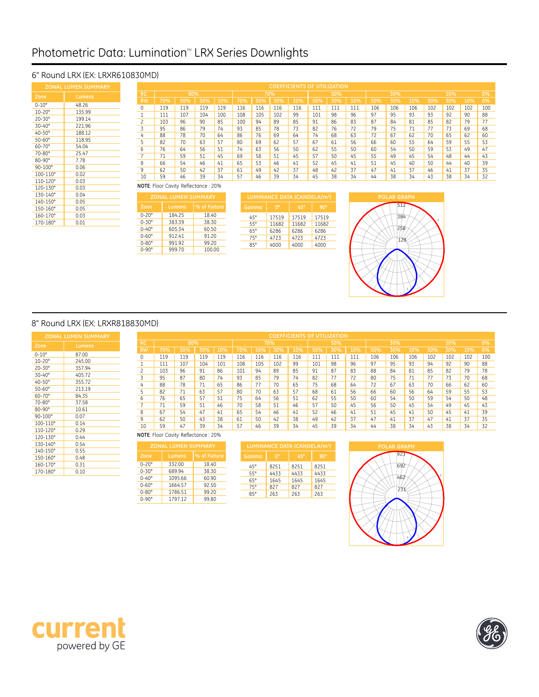# Photometric Data: Lumination<sup>®</sup> LRX Series Downlights

### 6" Round LRX (EX: LRXR610830MD)

| <b>ZONAL LUMEN SUMMARY</b> |        |  |  |  |  |  |  |  |  |  |
|----------------------------|--------|--|--|--|--|--|--|--|--|--|
| Zone                       | Lumens |  |  |  |  |  |  |  |  |  |
| 0-10°                      | 48.26  |  |  |  |  |  |  |  |  |  |
| $10 - 20^{\circ}$          | 135.99 |  |  |  |  |  |  |  |  |  |
| $20 - 30^{\circ}$          | 199.14 |  |  |  |  |  |  |  |  |  |
| $30 - 40^{\circ}$          | 221.96 |  |  |  |  |  |  |  |  |  |
| $40 - 50^{\circ}$          | 188.12 |  |  |  |  |  |  |  |  |  |
| $50 - 60^{\circ}$          | 118.95 |  |  |  |  |  |  |  |  |  |
| 60-70°                     | 54.04  |  |  |  |  |  |  |  |  |  |
| $70 - 80^\circ$            | 25.47  |  |  |  |  |  |  |  |  |  |
| $80 - 90^{\circ}$          | 7.78   |  |  |  |  |  |  |  |  |  |
| $90 - 100^{\circ}$         | 0.06   |  |  |  |  |  |  |  |  |  |
| $100 - 110^{\circ}$        | 0.02   |  |  |  |  |  |  |  |  |  |
| $110 - 120^{\circ}$        | 0.03   |  |  |  |  |  |  |  |  |  |
| $120 - 130^{\circ}$        | 0.03   |  |  |  |  |  |  |  |  |  |
| 130-140°                   | 0.04   |  |  |  |  |  |  |  |  |  |
| 140-150°                   | 0.05   |  |  |  |  |  |  |  |  |  |
| 150-160°                   | 0.05   |  |  |  |  |  |  |  |  |  |
| 160-170°                   | 0.03   |  |  |  |  |  |  |  |  |  |
| 170-180°                   | 0.01   |  |  |  |  |  |  |  |  |  |

|           | <b>COEFFICIENTS OF UTILIZATION</b> |     |     |     |     |     |     |     |     |     |     |     |     |     |     |     |     |       |
|-----------|------------------------------------|-----|-----|-----|-----|-----|-----|-----|-----|-----|-----|-----|-----|-----|-----|-----|-----|-------|
| <b>RC</b> |                                    | 80% |     |     |     | 70% |     |     |     | 50% |     |     | 30% |     |     | 10% |     | 0%    |
| <b>RW</b> | 70%                                | 50% | 30% | 10% | 70% | 50% | 30% | 10% | 50% | 30% | 10% | 50% | 30% | 10% | 50% | 30% | 10% | $0\%$ |
| 0         | 119                                | 119 | 119 | 119 | 116 | 116 | 116 | 116 | 111 | 111 | 111 | 106 | 106 | 106 | 102 | 102 | 102 | 100   |
|           | 111                                | 107 | 104 | 100 | 108 | 105 | 102 | 99  | 101 | 98  | 96  | 97  | 95  | 93  | 93  | 92  | 90  | 88    |
|           | 103                                | 96  | 90  | 85  | 100 | 94  | 89  | 85  | 91  | 86  | 83  | 87  | 84  | 81  | 85  | 82  | 79  | 77    |
| 3         | 95                                 | 86  | 79  | 74  | 93  | 85  | 78  | 73  | 82  | 76  | 72  | 79  | 75  | 71  | 77  | 73  | 69  | 68    |
| 4         | 88                                 | 78  | 70  | 64  | 86  | 76  | 69  | 64  | 74  | 68  | 63  | 72  | 67  | 62  | 70  | 65  | 62  | 60    |
| 5         | 82                                 | 70  | 63  | 57  | 80  | 69  | 62  | 57  | 67  | 61  | 56  | 66  | 60  | 55  | 64  | 59  | 55  | 53    |
| 6         | 76                                 | 64  | 56  | 51  | 74  | 63  | 56  | 50  | 62  | 55  | 50  | 60  | 54  | 50  | 59  | 53  | 49  | 47    |
|           | 71                                 | 59  | 51  | 45  | 69  | 58  | 51  | 45  | 57  | 50  | 45  | 55  | 49  | 45  | 54  | 48  | 44  | 43    |
| 8         | 66                                 | 54  | 46  | 41  | 65  | 53  | 46  | 41  | 52  | 45  | 41  | 51  | 45  | 40  | 50  | 44  | 40  | 39    |
| 9         | 62                                 | 50  | 42  | 37  | 61  | 49  | 42  | 37  | 48  | 42  | 37  | 47  | 41  | 37  | 46  | 41  | 37  | 35    |
| 10        | 59                                 | 46  | 39  | 34  | 57  | 46  | 39  | 34  | 45  | 38  | 34  | 44  | 38  | 34  | 43  | 38  | 34  | 32    |

**NOTE**: Floor Cavity Reflectance : 20%

| <b>ZONAL LUMEN SUMMARY</b> |        |              |  |  |  |  |  |  |  |  |  |
|----------------------------|--------|--------------|--|--|--|--|--|--|--|--|--|
| Zone                       | Lumens | % of Fixture |  |  |  |  |  |  |  |  |  |
| $0 - 20^{\circ}$           | 184.25 | 18.40        |  |  |  |  |  |  |  |  |  |
| $0-30^\circ$               | 383.39 | 38.30        |  |  |  |  |  |  |  |  |  |
| $0 - 40^{\circ}$           | 605.34 | 60.50        |  |  |  |  |  |  |  |  |  |
| $0 - 60^{\circ}$           | 912.41 | 91.20        |  |  |  |  |  |  |  |  |  |
| $0 - 80^{\circ}$           | 991.92 | 99.20        |  |  |  |  |  |  |  |  |  |
| $0 - 90^{\circ}$           | 999.70 | 100.00       |  |  |  |  |  |  |  |  |  |

|           | <b>ZONAL LUMEN SUMMARY</b> |              |              | LUMINANCE DATA (CANDELA/m <sup>2</sup> ) |       |            |  |  |  |
|-----------|----------------------------|--------------|--------------|------------------------------------------|-------|------------|--|--|--|
|           | Lumens                     | % of Fixture | Gamma        | $0^{\circ}$                              | 45°   | $90^\circ$ |  |  |  |
| ۰         | 184.25                     | 18.40        | $45^{\circ}$ | 17519                                    | 17519 | 17519      |  |  |  |
| ۰         | 383.39                     | 38.30        | $55^{\circ}$ | 11682                                    | 11682 | 11682      |  |  |  |
| ۰         | 605.34                     | 60.50        | $65^{\circ}$ | 6286                                     | 6286  | 6286       |  |  |  |
| $\bullet$ | 91241                      | 91.20        | $75^{\circ}$ | 4723                                     | 4723  | 4723       |  |  |  |
| ۰         | 991.92                     | 99.20        | $85^\circ$   | 4000                                     | 4000  | 4000       |  |  |  |
| ۰         | 999 70                     | 100.00       |              |                                          |       |            |  |  |  |



#### 8" Round LRX (EX: LRXR818830MD)

|                    | <b>ZONAL LUMEN SUMMARY</b> |           |                                     |     |     |     |     |     |     | <b>COEFFICIENTS OF UTILIZATION</b>   |     |     |     |     |                    |     |     |     |     |     |
|--------------------|----------------------------|-----------|-------------------------------------|-----|-----|-----|-----|-----|-----|--------------------------------------|-----|-----|-----|-----|--------------------|-----|-----|-----|-----|-----|
| Zone               | Lumens                     | <b>RC</b> |                                     | 80% |     |     |     |     | 70% |                                      |     | 50% |     |     | 30%                |     |     | 10% |     | 0%  |
|                    |                            | <b>RW</b> | 70%                                 | 50% | 30% | 10% | 70% | 50% | 30% | 10%                                  | 50% | 30% | 10% | 50% | 30%                | 10% | 50% | 30% | 10% | 0%  |
| $0 - 10^{\circ}$   | 87.00                      | 0         | 119                                 | 119 | 119 | 119 | 116 | 116 | 116 | 116                                  | 111 | 111 | 111 | 106 | 106                | 106 | 102 | 102 | 102 | 100 |
| $10 - 20^{\circ}$  | 245.00                     |           | 111                                 | 107 | 104 | 101 | 108 | 105 | 102 | 99                                   | 101 | 98  | 96  | 97  | 95                 | 93  | 94  | 92  | 90  | 88  |
| $20 - 30^{\circ}$  | 357.94                     |           | 103                                 | 96  | 91  | 86  | 101 | 94  | 89  | 85                                   | 91  | 87  | 83  | 88  | 84                 | 81  | 85  | 82  | 79  | 78  |
| $30-40^\circ$      | 405.72                     |           | 95                                  | 87  |     | 74  |     |     |     | 74                                   |     |     |     |     |                    |     | 77  |     |     |     |
| $40 - 50^{\circ}$  | 355.72                     |           |                                     |     | 80  |     | 93  | 85  | 79  |                                      | 82  | 77  | 72  | 80  | 75                 | 71  |     | 73  | 70  | 68  |
| $50 - 60^{\circ}$  | 213.19                     |           | 88                                  | 78  | 71  | 65  | 86  | 77  | 70  | 65                                   | 75  | 68  | 64  | 72  | 67                 | 63  | 70  | 66  | 62  | 60  |
| $60 - 70^{\circ}$  | 84.35                      |           | 82                                  | 71  | 63  | 57  | 80  | 70  | 63  | 57                                   | 68  | 61  | 56  | 66  | 60                 | 56  | 64  | 59  | 55  | 53  |
|                    |                            | 6         | 76                                  | 65  | 57  | 51  | 75  | 64  | 56  | 51                                   | 62  | 55  | 50  | 60  | 54                 | 50  | 59  | 54  | 50  | 48  |
| $70 - 80^{\circ}$  | 37.58                      |           | 71                                  | 59  | 51  | 46  | 70  | 58  | 51  | 46                                   | 57  | 50  | 45  | 56  | 50                 | 45  | 54  | 49  | 45  | 43  |
| $80 - 90^{\circ}$  | 10.61                      | 8         | 67                                  | 54  | 47  | 41  | 65  | 54  | 46  | 41                                   | 52  | 46  | 41  | 51  | 45                 | 41  | 50  | 45  | 41  | 39  |
| $90 - 100^{\circ}$ | 0.07                       | 9         | 62                                  | 50  | 43  | 38  | 61  | 50  | 42  | 38                                   | 49  | 42  | 37  | 47  | 41                 | 37  | 47  | 41  | 37  | 35  |
| 100-110°           | 0.14                       | 10        | 59                                  | 47  | 39  | 34  | 57  | 46  | 39  | 34                                   | 45  | 39  | 34  | 44  | 38                 | 34  | 43  | 38  | 34  | 32  |
| 110-120°           | 0.29                       |           |                                     |     |     |     |     |     |     |                                      |     |     |     |     |                    |     |     |     |     |     |
| 120-130°           | 0.44                       |           | NOTE: Floor Cavity Reflectance: 20% |     |     |     |     |     |     |                                      |     |     |     |     |                    |     |     |     |     |     |
| 130-140°           | 0.54                       |           | <b>ZONAL LIIMEN SHMMARV</b>         |     |     |     |     |     |     | <b>I IIMINANCE DATA (CANDELA/m2)</b> |     |     |     |     | <b>POLAR GRAPH</b> |     |     |     |     |     |

# **NOTE**: Floor Cavity Reflectance : 20%

| <b>ZONAL LUMEN SUMMARY</b> |         |              |  |  |  |  |  |  |
|----------------------------|---------|--------------|--|--|--|--|--|--|
| Zone                       | Lumens  | % of Fixture |  |  |  |  |  |  |
| $0 - 20^{\circ}$           | 332.00  | 18.40        |  |  |  |  |  |  |
| $0 - 30^{\circ}$           | 689.94  | 38.30        |  |  |  |  |  |  |
| $0 - 40^{\circ}$           | 1095.66 | 60.90        |  |  |  |  |  |  |
| $0 - 60^{\circ}$           | 1664.57 | 92.50        |  |  |  |  |  |  |
| $0 - 80^\circ$             | 1786.51 | 99.20        |  |  |  |  |  |  |
| $0-90^\circ$               | 1797.12 | 99.80        |  |  |  |  |  |  |

|                      | ZONAL LUMEN SUMMARY |              |              |             | LUMINANCE DATA (CANDELA/m <sup>2</sup> ) |            |
|----------------------|---------------------|--------------|--------------|-------------|------------------------------------------|------------|
|                      | Lumens              | % of Fixture | Gamma        | $0^{\circ}$ | 45°                                      | $90^\circ$ |
| ۰                    | 332.00              | 18.40        | 45°          | 8251        | 8251                                     | 8251       |
| ۰                    | 689.94              | 38.30        | 55°          | 4433        | 4433                                     | 4433       |
| ۰                    | 1095.66             | 60.90        | $65^{\circ}$ | 1645        | 1645                                     | 1645       |
| ۰                    | 1664.57             | 92.50        | $75^{\circ}$ | 827         | 827                                      | 827        |
| $\overline{\bullet}$ | 1786.51             | 99.20        | $85^\circ$   | 263         | 263                                      | 263        |
| ۰                    | 170712              | 00.80        |              |             |                                          |            |





130-140° 0.54<br>140-150° 0.55 140-150° 0.55<br>150-160° 0.48 150-160° 0.48<br>160-170° 0.31 160-170° 0.31<br>170-180° 0.10  $170 - 180°$ 

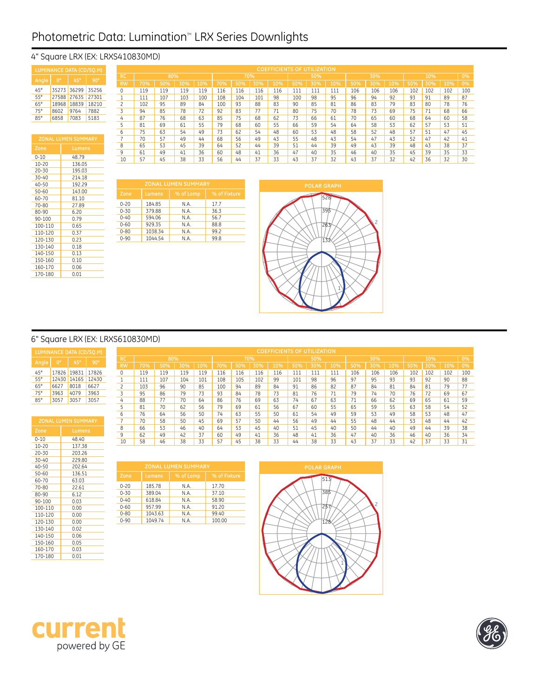# Photometric Data: Lumination<sup>®</sup> LRX Series Downlights

# 4" Square LRX (EX: LRXS410830MD)

|                |             | LUMINANCE DATA (CD/SO.M)   |            |                 |                     |     |                            |     |              |     |     | <b>COEFFICIENTS OF UTILIZATION</b> |     |                    |     |     |     |     |     |     |     |       |
|----------------|-------------|----------------------------|------------|-----------------|---------------------|-----|----------------------------|-----|--------------|-----|-----|------------------------------------|-----|--------------------|-----|-----|-----|-----|-----|-----|-----|-------|
|                | $0^{\circ}$ | $45^\circ$                 | $90^\circ$ | <b>RC</b>       |                     | 80% |                            |     |              | 70% |     |                                    |     | 50%                |     |     | 30% |     |     | 10% |     | $0\%$ |
| Angle          |             |                            |            | <b>RW</b>       | 70%                 | 50% | 30%                        | 10% | 70%          | 50% | 30% | 10%                                | 50% | 30%                | 10% | 50% | 30% | 10% | 50% | 30% | 10% | 0%    |
| 45°            |             | 35273 36299                | 35256      | 0               | 119                 | 119 | 119                        | 119 | 116          | 116 | 116 | 116                                | 111 | 111                | 111 | 106 | 106 | 106 | 102 | 102 | 102 | 100   |
| 55°            |             | 27588 27635                | 27301      | $\mathbf{1}$    | 111                 | 107 | 103                        | 100 | 108          | 104 | 101 | 98                                 | 100 | 98                 | 95  | 96  | 94  | 92  | 93  | 91  | 89  | 87    |
| 65°            |             | 18968 18839                | 18210      | $\overline{c}$  | 102                 | 95  | 89                         | 84  | 100          | 93  | 88  | 83                                 | 90  | 85                 | 81  | 86  | 83  | 79  | 83  | 80  | 78  | 76    |
| 75°            | 8602        | 9764                       | 7882       | $\overline{3}$  | 94                  | 85  | 78                         | 72  | 92           | 83  | 77  | 71                                 | 80  | 75                 | 70  | 78  | 73  | 69  | 75  | 71  | 68  | 66    |
| 85°            | 6858        | 7083                       | 5183       | 4               | 87                  | 76  | 68                         | 63  | 85           | 75  | 68  | 62                                 | 73  | 66                 | 61  | 70  | 65  | 60  | 68  | 64  | 60  | 58    |
|                |             |                            |            | 5               | 81                  | 69  | 61                         | 55  | 79           | 68  | 60  | 55                                 | 66  | 59                 | 54  | 64  | 58  | 53  | 62  | 57  | 53  | 51    |
|                |             |                            |            | $6\overline{6}$ | 75                  | 63  | 54                         | 49  | 73           | 62  | 54  | 48                                 | 60  | 53                 | 48  | 58  | 52  | 48  | 57  | 51  | 47  | 45    |
|                |             | <b>ZONAL LUMEN SUMMARY</b> |            | $\overline{7}$  | 70                  | 57  | 49                         | 44  | 68           | 56  | 49  | 43                                 | 55  | 48                 | 43  | 54  | 47  | 43  | 52  | 47  | 42  | 41    |
| Zone           |             | <b>Lumens</b>              |            | 8               | 65                  | 53  | 45                         | 39  | 64           | 52  | 44  | 39                                 | 51  | 44                 | 39  | 49  | 43  | 39  | 48  | 43  | 38  | 37    |
| $0 - 10$       |             |                            |            | $\overline{9}$  | 61                  | 49  | 41                         | 36  | 60           | 48  | 41  | 36                                 | 47  | 40                 | 35  | 46  | 40  | 35  | 45  | 39  | 35  | 33    |
|                |             | 48.79                      |            | 10              | 57                  | 45  | 38                         | 33  | 56           | 44  | 37  | 33                                 | 43  | 37                 | 32  | 43  | 37  | 32  | 42  | 36  | 32  | 30    |
| $10 - 20$      |             | 136.05                     |            |                 |                     |     |                            |     |              |     |     |                                    |     |                    |     |     |     |     |     |     |     |       |
| 20-30          |             | 195.03                     |            |                 |                     |     |                            |     |              |     |     |                                    |     |                    |     |     |     |     |     |     |     |       |
| 30-40<br>40-50 |             | 214.18<br>192.29           |            |                 |                     |     | <b>ZONAL LUMEN SUMMARY</b> |     |              |     |     |                                    |     |                    |     |     |     |     |     |     |     |       |
|                |             |                            |            |                 |                     |     |                            |     |              |     |     |                                    |     | <b>POLAR GRAPH</b> |     |     |     |     |     |     |     |       |
| 50-60          |             | 143.00<br>81.10            |            | Zone            | Lumens <sup>1</sup> |     | % of Lamp                  |     | % of Fixture |     |     |                                    |     |                    | 528 |     |     |     |     |     |     |       |
| 60-70          |             |                            |            | $0 - 20$        | 184.85              |     | N.A.                       |     | 17.7         |     |     |                                    |     |                    |     |     |     |     |     |     |     |       |
| 70-80          |             | 27.89                      |            | $0 - 30$        | 379.88              |     | N.A.                       |     | 36.3         |     |     |                                    |     |                    | 395 |     |     |     |     |     |     |       |
| 80-90          |             | 6.20                       |            | $0 - 40$        | 594.06              |     | N.A.                       |     | 56.7         |     |     |                                    |     |                    |     |     |     |     |     |     |     |       |
| 90-100         |             | 0.79                       |            | $0 - 60$        | 929.35              |     | N.A.                       |     | 88.8         |     |     |                                    |     |                    | 263 |     |     |     |     |     |     |       |
| 100-110        |             | 0.65                       |            |                 |                     |     |                            |     |              |     |     |                                    |     |                    |     |     |     |     |     |     |     |       |

| Zone     | Lumens  | % of Lamp | % of Fixture |
|----------|---------|-----------|--------------|
| $0 - 20$ | 184.85  | N.A.      | 17.7         |
| $0 - 30$ | 379.88  | N.A.      | 36.3         |
| $0 - 40$ | 594.06  | N.A.      | 56.7         |
| $0 - 60$ | 929.35  | N.A.      | 88.8         |
| $0 - 80$ | 1038.34 | N.A.      | 99.2         |
| $0 - 90$ | 1044.54 | N.A.      | 99.8         |



# 6" Square LRX (EX: LRXS610830MD)

110-120 0.37<br>120-130 0.23 120-130 0.23<br>130-140 0.18<br>140-150 0.13 130-140 0.18 140-150 0.13 150-160 0.10 160-170 0.06 170-180 0.01

|               |       | LUMINANCE DATA (CD/SQ.M)   |       |                    |     |     |     |     |     |     |     | <b>COEFFICIENTS OF UTILIZATION</b> |     |     |        |     |     |     |     |     |     |     |
|---------------|-------|----------------------------|-------|--------------------|-----|-----|-----|-----|-----|-----|-----|------------------------------------|-----|-----|--------|-----|-----|-----|-----|-----|-----|-----|
|               | n°    | 459                        | 90°   | <b>RC</b>          |     | 80% |     |     |     | 70% |     |                                    |     | 50% |        |     | 30% |     |     | 10% |     | 0%  |
| Angle         |       |                            |       | <b>RW</b>          | 70% | 50% | 30% | 10% | 70% | 50% | 30% | 10%                                | 50% | 30% | $10\%$ | 50% | 30% | 10% | 50% | 30% | 10% | 0%  |
| 45°           | 17826 | 19831                      | .7826 | 0                  | 119 | 119 | 119 | 119 | 116 | 116 | 116 | 116                                | 111 | 111 | 111    | 106 | 106 | 106 | 102 | 102 | 102 | 100 |
| 55°           |       | 12430 14165                | 12430 |                    | 111 | 107 | 104 | 101 | 108 | 105 | 102 | 99                                 | 101 | 98  | 96     | 97  | 95  | 93  | 93  | 92  | 90  | 88  |
| 65°           | 6627  | 8018                       | 6627  | $\mathcal{D}$<br>L | 103 | 96  | 90  | 85  | 100 | 94  | 89  | 84                                 | 91  | 86  | 82     | 87  | 84  | 81  | 84  | 81  | 79  | 77  |
| 75°           | 3963  | 4079                       | 3963  | -                  | 95  | 86  | 79  | 73  | 93  | 84  | 78  |                                    | 81  | 76  | 71     | 79  | 74  | 70  | 76  | 72  | 69  | 67  |
| 85°           | 3057  | 3057                       | 3057  | 4                  | 88  | 77  | 70  | 64  | 86  | 76  | 69  | 63                                 | 74  | 67  | 63     | 71  | 66  | 62  | 69  | 65  | 61  | 59  |
|               |       |                            |       |                    | 81  | 70  | 62  | 56  | 79  | 69  | 61  | 56                                 | 67  | 60  | 55     | 65  | 59  | 55  | 63  | 58  | 54  | 52  |
|               |       |                            |       | b                  | 76  | 64  | 56  | 50  | 74  | 63  | 55  | 50                                 | 61  | 54  | 49     | 59  | 53  | 49  | 58  | 53  | 48  | 47  |
|               |       | <b>ZONAL LUMEN SUMMARY</b> |       |                    | 70  | 58  | 50  | 45  | 69  | 57  | 50  | 44                                 | 56  | 49  | 44     | 55  | 48  | 44  | 53  | 48  | 44  | 42  |
| Zone          |       | Lumens.                    |       | 8                  | 66  | 53  | 46  | 40  | 64  | 53  | 45  | 40                                 | 51  | 45  | 40     | 50  | 44  | 40  | 49  | 44  | 39  | 38  |
|               |       |                            |       | 9                  | 62  | 49  | 42  | 37  | 60  | 49  | 41  | 36                                 | 48  | 41  | 36     | 47  | 40  | 36  | 46  | 40  | 36  | 34  |
| 0-10<br>10.20 |       | 48.40<br>17770             |       | 10                 | 58  | 46  | 38  | 33  | 57  | 45  | 38  | 33                                 | 44  | 38  | 33     | 43  | 37  | 33  | 42  | 37  | 33  | 31  |
|               |       |                            |       |                    |     |     |     |     |     |     |     |                                    |     |     |        |     |     |     |     |     |     |     |

| $0 - 10$   | 48.40  |
|------------|--------|
| $10 - 20$  | 137.38 |
| $20 - 30$  | 203.26 |
| $30 - 40$  | 229.80 |
| $40 - 50$  | 202.64 |
| 50-60      | 136.51 |
| $60 - 70$  | 63.03  |
| 70-80      | 22.61  |
| 80-90      | 6.12   |
| $90 - 100$ | 0.03   |
| 100-110    | 0.00   |
| 110-120    | 0.00   |
| 120-130    | 0.00   |
| 130-140    | 0.02   |
| 140-150    | 0.06   |
| 150-160    | 0.05   |
| 160-170    | 0.03   |
| 170-180    | 0.01   |
|            |        |

| <b>ZONAL LUMEN SUMMARY</b> |         |           |              |  |  |  |  |  |
|----------------------------|---------|-----------|--------------|--|--|--|--|--|
| Zone                       | Lumens  | % of Lamp | % of Fixture |  |  |  |  |  |
| $0 - 20$                   | 185.78  | N.A.      | 17.70        |  |  |  |  |  |
| $0 - 30$                   | 389.04  | N.A.      | 37.10        |  |  |  |  |  |
| $0 - 40$                   | 618.84  | N.A.      | 58.90        |  |  |  |  |  |
| $0 - 60$                   | 957.99  | N.A.      | 91.20        |  |  |  |  |  |
| $0 - 80$                   | 1043.63 | N.A.      | 99.40        |  |  |  |  |  |
| $0 - 90$                   | 1049.74 | N.A.      | 100.00       |  |  |  |  |  |